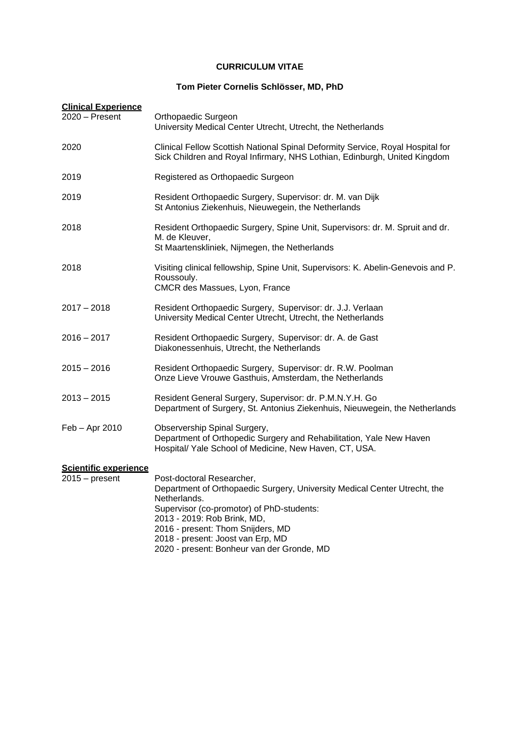## **CURRICULUM VITAE**

## **Tom Pieter Cornelis Schlösser, MD, PhD**

| <b>Clinical Experience</b><br>2020 - Present | Orthopaedic Surgeon<br>University Medical Center Utrecht, Utrecht, the Netherlands                                                                                                                                                                                                                                         |
|----------------------------------------------|----------------------------------------------------------------------------------------------------------------------------------------------------------------------------------------------------------------------------------------------------------------------------------------------------------------------------|
| 2020                                         | Clinical Fellow Scottish National Spinal Deformity Service, Royal Hospital for<br>Sick Children and Royal Infirmary, NHS Lothian, Edinburgh, United Kingdom                                                                                                                                                                |
| 2019                                         | Registered as Orthopaedic Surgeon                                                                                                                                                                                                                                                                                          |
| 2019                                         | Resident Orthopaedic Surgery, Supervisor: dr. M. van Dijk<br>St Antonius Ziekenhuis, Nieuwegein, the Netherlands                                                                                                                                                                                                           |
| 2018                                         | Resident Orthopaedic Surgery, Spine Unit, Supervisors: dr. M. Spruit and dr.<br>M. de Kleuver,<br>St Maartenskliniek, Nijmegen, the Netherlands                                                                                                                                                                            |
| 2018                                         | Visiting clinical fellowship, Spine Unit, Supervisors: K. Abelin-Genevois and P.<br>Roussouly.<br>CMCR des Massues, Lyon, France                                                                                                                                                                                           |
| $2017 - 2018$                                | Resident Orthopaedic Surgery, Supervisor: dr. J.J. Verlaan<br>University Medical Center Utrecht, Utrecht, the Netherlands                                                                                                                                                                                                  |
| 2016 – 2017                                  | Resident Orthopaedic Surgery, Supervisor: dr. A. de Gast<br>Diakonessenhuis, Utrecht, the Netherlands                                                                                                                                                                                                                      |
| $2015 - 2016$                                | Resident Orthopaedic Surgery, Supervisor: dr. R.W. Poolman<br>Onze Lieve Vrouwe Gasthuis, Amsterdam, the Netherlands                                                                                                                                                                                                       |
| $2013 - 2015$                                | Resident General Surgery, Supervisor: dr. P.M.N.Y.H. Go<br>Department of Surgery, St. Antonius Ziekenhuis, Nieuwegein, the Netherlands                                                                                                                                                                                     |
| Feb - Apr 2010                               | Observership Spinal Surgery,<br>Department of Orthopedic Surgery and Rehabilitation, Yale New Haven<br>Hospital/ Yale School of Medicine, New Haven, CT, USA.                                                                                                                                                              |
| Scientific experience<br>$2015 - present$    | Post-doctoral Researcher,<br>Department of Orthopaedic Surgery, University Medical Center Utrecht, the<br>Netherlands.<br>Supervisor (co-promotor) of PhD-students:<br>2013 - 2019: Rob Brink, MD,<br>2016 - present: Thom Snijders, MD<br>2018 - present: Joost van Erp, MD<br>2020 - present: Bonheur van der Gronde, MD |